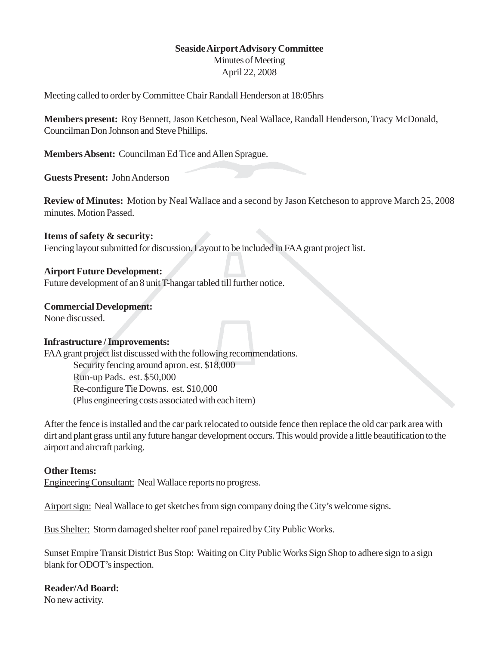# **Seaside Airport Advisory Committee**

Minutes of Meeting April 22, 2008

Meeting called to order by Committee Chair Randall Henderson at 18:05hrs

**Members present:** Roy Bennett, Jason Ketcheson, Neal Wallace, Randall Henderson, Tracy McDonald, Councilman Don Johnson and Steve Phillips.

**Members Absent:** Councilman Ed Tice and Allen Sprague.

**Guests Present:** John Anderson

**Review of Minutes:** Motion by Neal Wallace and a second by Jason Ketcheson to approve March 25, 2008 minutes. Motion Passed.

### **Items of safety & security:**

Fencing layout submitted for discussion. Layout to be included in FAA grant project list.

## **Airport Future Development:**

Future development of an 8 unit T-hangar tabled till further notice.

### **Commercial Development:**

None discussed.

## **Infrastructure / Improvements:**

FAA grant project list discussed with the following recommendations. Security fencing around apron. est. \$18,000 Run-up Pads. est. \$50,000 Re-configure Tie Downs. est. \$10,000 (Plus engineering costs associated with each item)

After the fence is installed and the car park relocated to outside fence then replace the old car park area with dirt and plant grass until any future hangar development occurs. This would provide a little beautification to the airport and aircraft parking.

## **Other Items:**

Engineering Consultant: Neal Wallace reports no progress.

Airport sign: Neal Wallace to get sketches from sign company doing the City's welcome signs.

Bus Shelter: Storm damaged shelter roof panel repaired by City Public Works.

Sunset Empire Transit District Bus Stop: Waiting on City Public Works Sign Shop to adhere sign to a sign blank for ODOT's inspection.

**Reader/Ad Board:** No new activity.